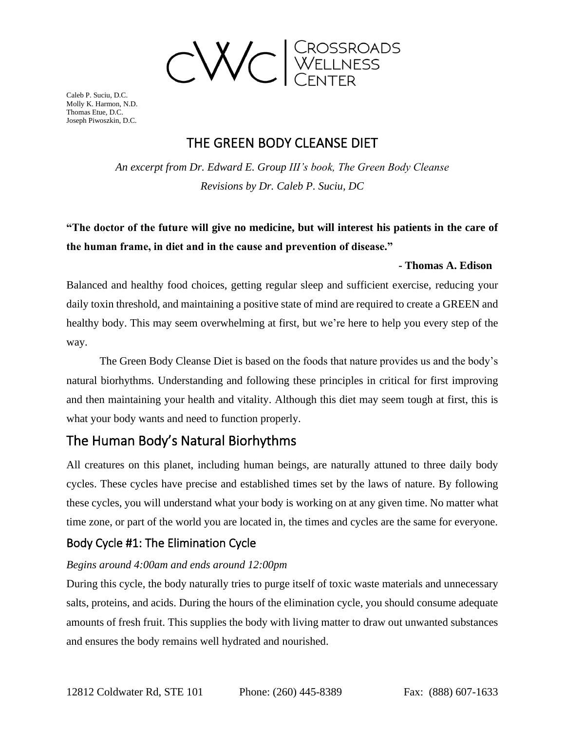

## THE GREEN BODY CLEANSE DIET

*An excerpt from Dr. Edward E. Group III's book, The Green Body Cleanse Revisions by Dr. Caleb P. Suciu, DC*

## **"The doctor of the future will give no medicine, but will interest his patients in the care of the human frame, in diet and in the cause and prevention of disease."**

### **- Thomas A. Edison**

Balanced and healthy food choices, getting regular sleep and sufficient exercise, reducing your daily toxin threshold, and maintaining a positive state of mind are required to create a GREEN and healthy body. This may seem overwhelming at first, but we're here to help you every step of the way.

The Green Body Cleanse Diet is based on the foods that nature provides us and the body's natural biorhythms. Understanding and following these principles in critical for first improving and then maintaining your health and vitality. Although this diet may seem tough at first, this is what your body wants and need to function properly.

## The Human Body's Natural Biorhythms

All creatures on this planet, including human beings, are naturally attuned to three daily body cycles. These cycles have precise and established times set by the laws of nature. By following these cycles, you will understand what your body is working on at any given time. No matter what time zone, or part of the world you are located in, the times and cycles are the same for everyone.

### Body Cycle #1: The Elimination Cycle

### *Begins around 4:00am and ends around 12:00pm*

During this cycle, the body naturally tries to purge itself of toxic waste materials and unnecessary salts, proteins, and acids. During the hours of the elimination cycle, you should consume adequate amounts of fresh fruit. This supplies the body with living matter to draw out unwanted substances and ensures the body remains well hydrated and nourished.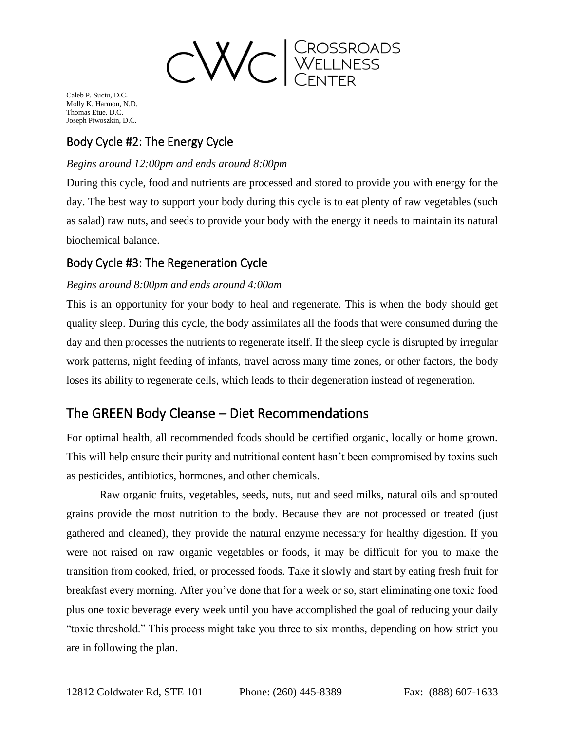

### Body Cycle #2: The Energy Cycle

### *Begins around 12:00pm and ends around 8:00pm*

During this cycle, food and nutrients are processed and stored to provide you with energy for the day. The best way to support your body during this cycle is to eat plenty of raw vegetables (such as salad) raw nuts, and seeds to provide your body with the energy it needs to maintain its natural biochemical balance.

### Body Cycle #3: The Regeneration Cycle

### *Begins around 8:00pm and ends around 4:00am*

This is an opportunity for your body to heal and regenerate. This is when the body should get quality sleep. During this cycle, the body assimilates all the foods that were consumed during the day and then processes the nutrients to regenerate itself. If the sleep cycle is disrupted by irregular work patterns, night feeding of infants, travel across many time zones, or other factors, the body loses its ability to regenerate cells, which leads to their degeneration instead of regeneration.

### The GREEN Body Cleanse – Diet Recommendations

For optimal health, all recommended foods should be certified organic, locally or home grown. This will help ensure their purity and nutritional content hasn't been compromised by toxins such as pesticides, antibiotics, hormones, and other chemicals.

Raw organic fruits, vegetables, seeds, nuts, nut and seed milks, natural oils and sprouted grains provide the most nutrition to the body. Because they are not processed or treated (just gathered and cleaned), they provide the natural enzyme necessary for healthy digestion. If you were not raised on raw organic vegetables or foods, it may be difficult for you to make the transition from cooked, fried, or processed foods. Take it slowly and start by eating fresh fruit for breakfast every morning. After you've done that for a week or so, start eliminating one toxic food plus one toxic beverage every week until you have accomplished the goal of reducing your daily "toxic threshold." This process might take you three to six months, depending on how strict you are in following the plan.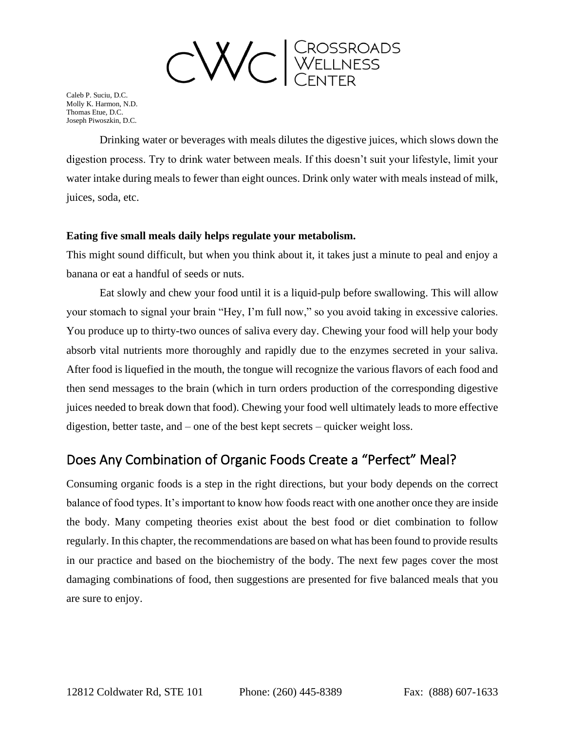

Drinking water or beverages with meals dilutes the digestive juices, which slows down the digestion process. Try to drink water between meals. If this doesn't suit your lifestyle, limit your water intake during meals to fewer than eight ounces. Drink only water with meals instead of milk, juices, soda, etc.

### **Eating five small meals daily helps regulate your metabolism.**

This might sound difficult, but when you think about it, it takes just a minute to peal and enjoy a banana or eat a handful of seeds or nuts.

Eat slowly and chew your food until it is a liquid-pulp before swallowing. This will allow your stomach to signal your brain "Hey, I'm full now," so you avoid taking in excessive calories. You produce up to thirty-two ounces of saliva every day. Chewing your food will help your body absorb vital nutrients more thoroughly and rapidly due to the enzymes secreted in your saliva. After food is liquefied in the mouth, the tongue will recognize the various flavors of each food and then send messages to the brain (which in turn orders production of the corresponding digestive juices needed to break down that food). Chewing your food well ultimately leads to more effective digestion, better taste, and – one of the best kept secrets – quicker weight loss.

### Does Any Combination of Organic Foods Create a "Perfect" Meal?

Consuming organic foods is a step in the right directions, but your body depends on the correct balance of food types. It's important to know how foods react with one another once they are inside the body. Many competing theories exist about the best food or diet combination to follow regularly. In this chapter, the recommendations are based on what has been found to provide results in our practice and based on the biochemistry of the body. The next few pages cover the most damaging combinations of food, then suggestions are presented for five balanced meals that you are sure to enjoy.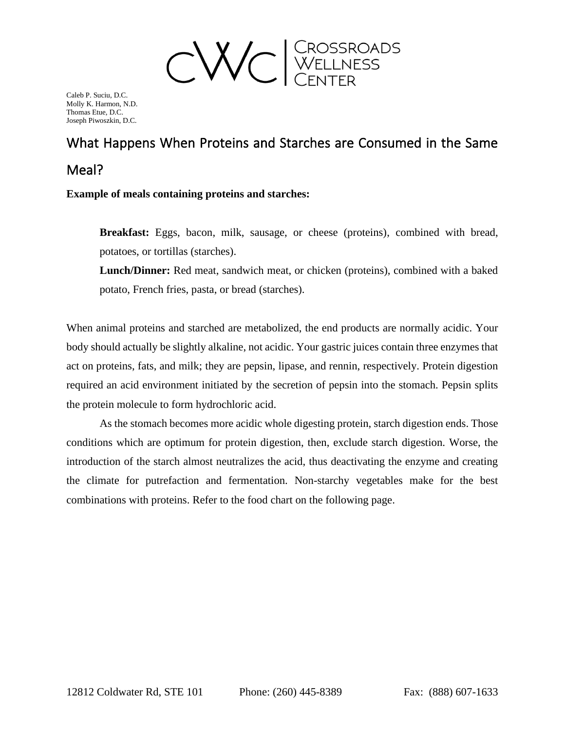

# What Happens When Proteins and Starches are Consumed in the Same Meal?

**Example of meals containing proteins and starches:**

**Breakfast:** Eggs, bacon, milk, sausage, or cheese (proteins), combined with bread, potatoes, or tortillas (starches).

**Lunch/Dinner:** Red meat, sandwich meat, or chicken (proteins), combined with a baked potato, French fries, pasta, or bread (starches).

When animal proteins and starched are metabolized, the end products are normally acidic. Your body should actually be slightly alkaline, not acidic. Your gastric juices contain three enzymes that act on proteins, fats, and milk; they are pepsin, lipase, and rennin, respectively. Protein digestion required an acid environment initiated by the secretion of pepsin into the stomach. Pepsin splits the protein molecule to form hydrochloric acid.

As the stomach becomes more acidic whole digesting protein, starch digestion ends. Those conditions which are optimum for protein digestion, then, exclude starch digestion. Worse, the introduction of the starch almost neutralizes the acid, thus deactivating the enzyme and creating the climate for putrefaction and fermentation. Non-starchy vegetables make for the best combinations with proteins. Refer to the food chart on the following page.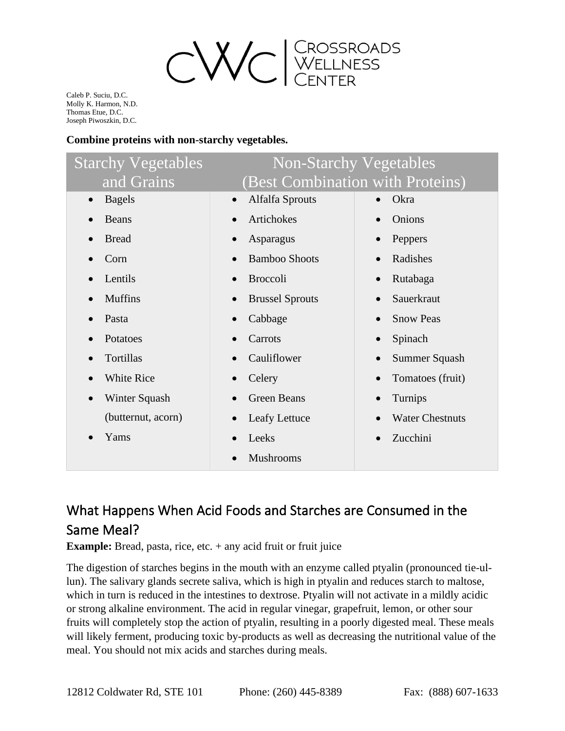

### **Combine proteins with non-starchy vegetables.**

| <b>Starchy Vegetables</b>  | <b>Non-Starchy Vegetables</b>       |                                  |
|----------------------------|-------------------------------------|----------------------------------|
| and Grains                 |                                     | (Best Combination with Proteins) |
| <b>Bagels</b><br>$\bullet$ | <b>Alfalfa Sprouts</b><br>$\bullet$ | Okra                             |
| <b>Beans</b>               | Artichokes                          | Onions                           |
| <b>Bread</b>               | Asparagus                           | Peppers                          |
| Corn                       | <b>Bamboo Shoots</b><br>$\bullet$   | Radishes                         |
| Lentils                    | <b>Broccoli</b><br>$\bullet$        | Rutabaga<br>$\bullet$            |
| <b>Muffins</b>             | <b>Brussel Sprouts</b>              | Sauerkraut                       |
| Pasta                      | Cabbage                             | <b>Snow Peas</b>                 |
| Potatoes                   | Carrots                             | Spinach<br>$\bullet$             |
| Tortillas                  | Cauliflower                         | Summer Squash<br>$\bullet$       |
| <b>White Rice</b>          | Celery                              | Tomatoes (fruit)                 |
| <b>Winter Squash</b>       | <b>Green Beans</b>                  | Turnips<br>$\bullet$             |
| (butternut, acorn)         | Leafy Lettuce<br>$\bullet$          | <b>Water Chestnuts</b>           |
| Yams                       | Leeks                               | Zucchini                         |
|                            | <b>Mushrooms</b>                    |                                  |

## What Happens When Acid Foods and Starches are Consumed in the Same Meal?

**Example:** Bread, pasta, rice, etc. + any acid fruit or fruit juice

The digestion of starches begins in the mouth with an enzyme called ptyalin (pronounced tie-ullun). The salivary glands secrete saliva, which is high in ptyalin and reduces starch to maltose, which in turn is reduced in the intestines to dextrose. Ptyalin will not activate in a mildly acidic or strong alkaline environment. The acid in regular vinegar, grapefruit, lemon, or other sour fruits will completely stop the action of ptyalin, resulting in a poorly digested meal. These meals will likely ferment, producing toxic by-products as well as decreasing the nutritional value of the meal. You should not mix acids and starches during meals.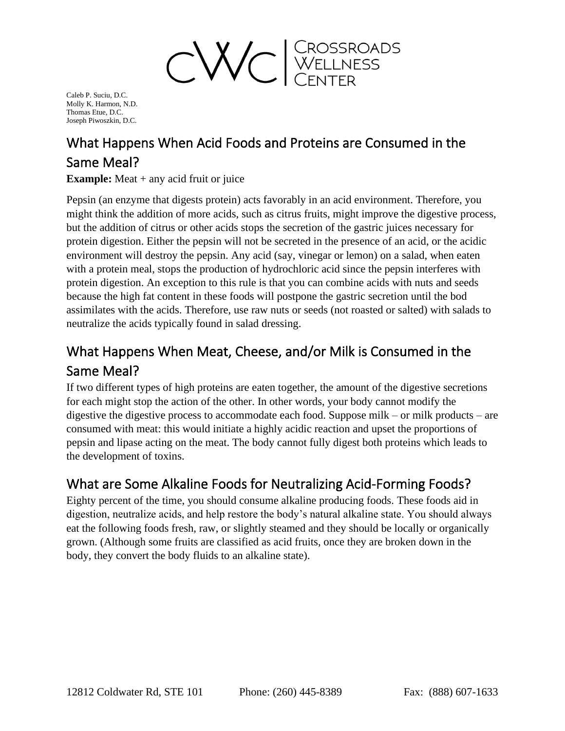

## What Happens When Acid Foods and Proteins are Consumed in the Same Meal?

**Example:** Meat + any acid fruit or juice

Pepsin (an enzyme that digests protein) acts favorably in an acid environment. Therefore, you might think the addition of more acids, such as citrus fruits, might improve the digestive process, but the addition of citrus or other acids stops the secretion of the gastric juices necessary for protein digestion. Either the pepsin will not be secreted in the presence of an acid, or the acidic environment will destroy the pepsin. Any acid (say, vinegar or lemon) on a salad, when eaten with a protein meal, stops the production of hydrochloric acid since the pepsin interferes with protein digestion. An exception to this rule is that you can combine acids with nuts and seeds because the high fat content in these foods will postpone the gastric secretion until the bod assimilates with the acids. Therefore, use raw nuts or seeds (not roasted or salted) with salads to neutralize the acids typically found in salad dressing.

## What Happens When Meat, Cheese, and/or Milk is Consumed in the Same Meal?

If two different types of high proteins are eaten together, the amount of the digestive secretions for each might stop the action of the other. In other words, your body cannot modify the digestive the digestive process to accommodate each food. Suppose milk – or milk products – are consumed with meat: this would initiate a highly acidic reaction and upset the proportions of pepsin and lipase acting on the meat. The body cannot fully digest both proteins which leads to the development of toxins.

## What are Some Alkaline Foods for Neutralizing Acid-Forming Foods?

Eighty percent of the time, you should consume alkaline producing foods. These foods aid in digestion, neutralize acids, and help restore the body's natural alkaline state. You should always eat the following foods fresh, raw, or slightly steamed and they should be locally or organically grown. (Although some fruits are classified as acid fruits, once they are broken down in the body, they convert the body fluids to an alkaline state).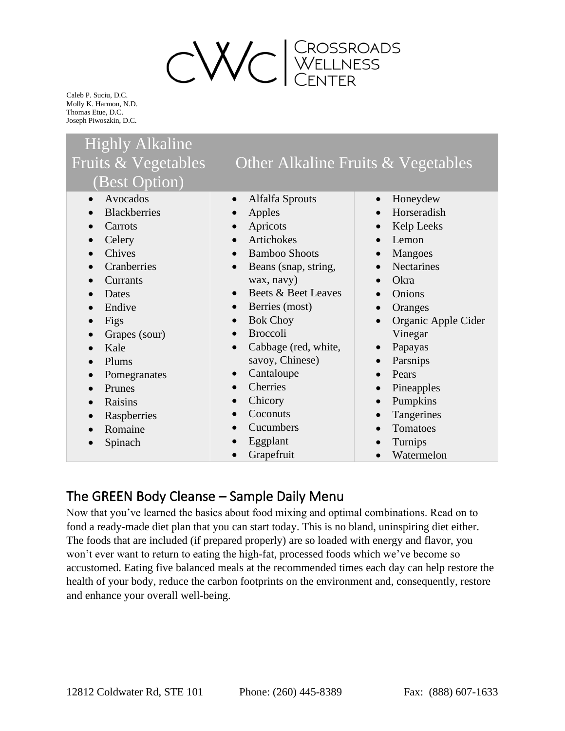

## Highly Alkaline Fruits & Vegetables (Best Option)

- Avocados
- Blackberries
- Carrots
- Celery
- Chives
- Cranberries
- **Currants**
- Dates
- Endive
- Figs
- Grapes (sour)
- Kale
- Plums
- Pomegranates
- Prunes
- Raisins
- Raspberries
- Romaine
- Spinach
- Alfalfa Sprouts
- Apples
- Apricots
- Artichokes
- Bamboo Shoots
- Beans (snap, string, wax, navy)
- Beets & Beet Leaves
- Berries (most)
- Bok Choy
- Broccoli
- Cabbage (red, white, savoy, Chinese)
- Cantaloupe
- Cherries
- Chicory
- Coconuts
- Cucumbers
- Eggplant
- Grapefruit

• Honeydew

Other Alkaline Fruits & Vegetables

- Horseradish
- Kelp Leeks
- Lemon
- Mangoes
- Nectarines
- Okra
- Onions
- Oranges
- Organic Apple Cider Vinegar
- Papayas
- **Parsnips**
- Pears
- Pineapples
- Pumpkins
- Tangerines
- Tomatoes
- Turnips
- Watermelon

### The GREEN Body Cleanse – Sample Daily Menu

Now that you've learned the basics about food mixing and optimal combinations. Read on to fond a ready-made diet plan that you can start today. This is no bland, uninspiring diet either. The foods that are included (if prepared properly) are so loaded with energy and flavor, you won't ever want to return to eating the high-fat, processed foods which we've become so accustomed. Eating five balanced meals at the recommended times each day can help restore the health of your body, reduce the carbon footprints on the environment and, consequently, restore and enhance your overall well-being.

- 
- 
-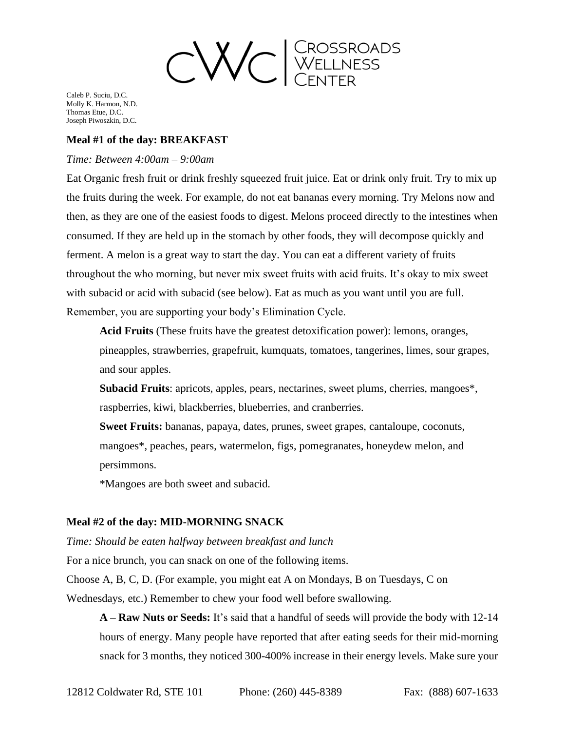

### **Meal #1 of the day: BREAKFAST**

#### *Time: Between 4:00am – 9:00am*

Eat Organic fresh fruit or drink freshly squeezed fruit juice. Eat or drink only fruit. Try to mix up the fruits during the week. For example, do not eat bananas every morning. Try Melons now and then, as they are one of the easiest foods to digest. Melons proceed directly to the intestines when consumed. If they are held up in the stomach by other foods, they will decompose quickly and ferment. A melon is a great way to start the day. You can eat a different variety of fruits throughout the who morning, but never mix sweet fruits with acid fruits. It's okay to mix sweet with subacid or acid with subacid (see below). Eat as much as you want until you are full. Remember, you are supporting your body's Elimination Cycle.

**Acid Fruits** (These fruits have the greatest detoxification power): lemons, oranges, pineapples, strawberries, grapefruit, kumquats, tomatoes, tangerines, limes, sour grapes, and sour apples.

**Subacid Fruits**: apricots, apples, pears, nectarines, sweet plums, cherries, mangoes\*, raspberries, kiwi, blackberries, blueberries, and cranberries.

**Sweet Fruits:** bananas, papaya, dates, prunes, sweet grapes, cantaloupe, coconuts, mangoes\*, peaches, pears, watermelon, figs, pomegranates, honeydew melon, and persimmons.

\*Mangoes are both sweet and subacid.

### **Meal #2 of the day: MID-MORNING SNACK**

*Time: Should be eaten halfway between breakfast and lunch*

For a nice brunch, you can snack on one of the following items.

Choose A, B, C, D. (For example, you might eat A on Mondays, B on Tuesdays, C on

Wednesdays, etc.) Remember to chew your food well before swallowing.

**A – Raw Nuts or Seeds:** It's said that a handful of seeds will provide the body with 12-14 hours of energy. Many people have reported that after eating seeds for their mid-morning snack for 3 months, they noticed 300-400% increase in their energy levels. Make sure your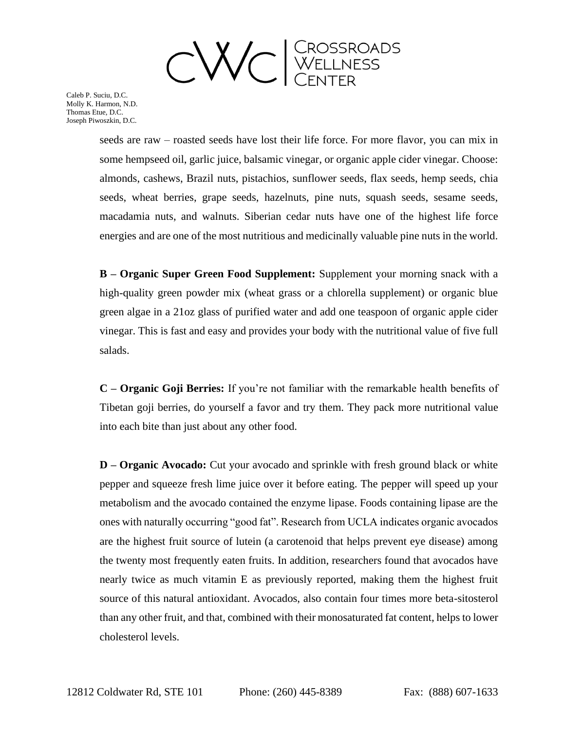

> seeds are raw – roasted seeds have lost their life force. For more flavor, you can mix in some hempseed oil, garlic juice, balsamic vinegar, or organic apple cider vinegar. Choose: almonds, cashews, Brazil nuts, pistachios, sunflower seeds, flax seeds, hemp seeds, chia seeds, wheat berries, grape seeds, hazelnuts, pine nuts, squash seeds, sesame seeds, macadamia nuts, and walnuts. Siberian cedar nuts have one of the highest life force energies and are one of the most nutritious and medicinally valuable pine nuts in the world.

> **B – Organic Super Green Food Supplement:** Supplement your morning snack with a high-quality green powder mix (wheat grass or a chlorella supplement) or organic blue green algae in a 21oz glass of purified water and add one teaspoon of organic apple cider vinegar. This is fast and easy and provides your body with the nutritional value of five full salads.

> **C – Organic Goji Berries:** If you're not familiar with the remarkable health benefits of Tibetan goji berries, do yourself a favor and try them. They pack more nutritional value into each bite than just about any other food.

> **D – Organic Avocado:** Cut your avocado and sprinkle with fresh ground black or white pepper and squeeze fresh lime juice over it before eating. The pepper will speed up your metabolism and the avocado contained the enzyme lipase. Foods containing lipase are the ones with naturally occurring "good fat". Research from UCLA indicates organic avocados are the highest fruit source of lutein (a carotenoid that helps prevent eye disease) among the twenty most frequently eaten fruits. In addition, researchers found that avocados have nearly twice as much vitamin E as previously reported, making them the highest fruit source of this natural antioxidant. Avocados, also contain four times more beta-sitosterol than any other fruit, and that, combined with their monosaturated fat content, helps to lower cholesterol levels.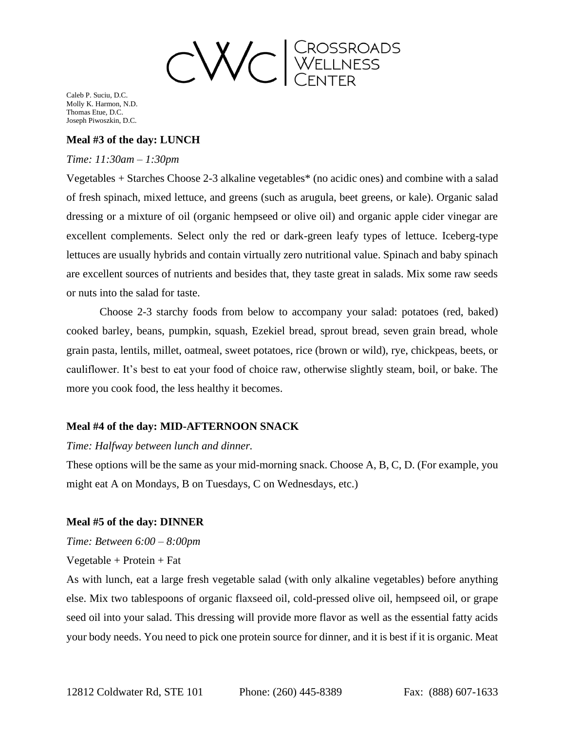

### **Meal #3 of the day: LUNCH**

#### *Time: 11:30am – 1:30pm*

Vegetables + Starches Choose 2-3 alkaline vegetables\* (no acidic ones) and combine with a salad of fresh spinach, mixed lettuce, and greens (such as arugula, beet greens, or kale). Organic salad dressing or a mixture of oil (organic hempseed or olive oil) and organic apple cider vinegar are excellent complements. Select only the red or dark-green leafy types of lettuce. Iceberg-type lettuces are usually hybrids and contain virtually zero nutritional value. Spinach and baby spinach are excellent sources of nutrients and besides that, they taste great in salads. Mix some raw seeds or nuts into the salad for taste.

Choose 2-3 starchy foods from below to accompany your salad: potatoes (red, baked) cooked barley, beans, pumpkin, squash, Ezekiel bread, sprout bread, seven grain bread, whole grain pasta, lentils, millet, oatmeal, sweet potatoes, rice (brown or wild), rye, chickpeas, beets, or cauliflower. It's best to eat your food of choice raw, otherwise slightly steam, boil, or bake. The more you cook food, the less healthy it becomes.

### **Meal #4 of the day: MID-AFTERNOON SNACK**

#### *Time: Halfway between lunch and dinner.*

These options will be the same as your mid-morning snack. Choose A, B, C, D. (For example, you might eat A on Mondays, B on Tuesdays, C on Wednesdays, etc.)

### **Meal #5 of the day: DINNER**

*Time: Between 6:00 – 8:00pm* 

 $Vegetable + Protein + Fat$ 

As with lunch, eat a large fresh vegetable salad (with only alkaline vegetables) before anything else. Mix two tablespoons of organic flaxseed oil, cold-pressed olive oil, hempseed oil, or grape seed oil into your salad. This dressing will provide more flavor as well as the essential fatty acids your body needs. You need to pick one protein source for dinner, and it is best if it is organic. Meat